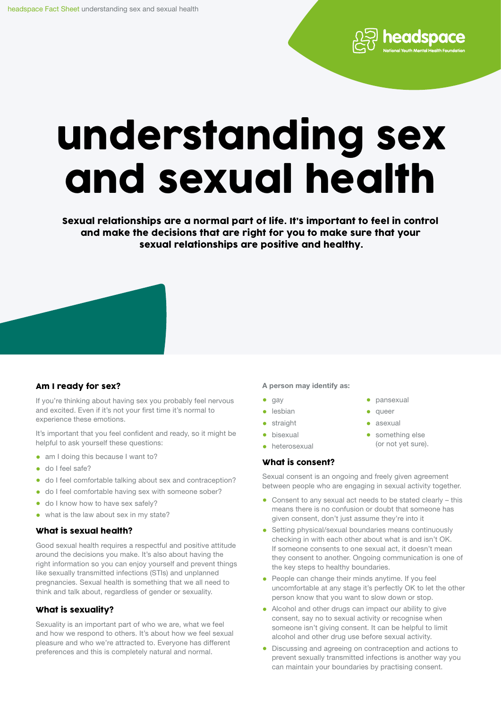

Sexual relationships are a normal part of life. It's important to feel in control and make the decisions that are right for you to make sure that your sexual relationships are positive and healthy.



# Am I ready for sex?

If you're thinking about having sex you probably feel nervous and excited. Even if it's not your first time it's normal to experience these emotions.

It's important that you feel confident and ready, so it might be helpful to ask yourself these questions:

- am I doing this because I want to?
- do I feel safe?
- do I feel comfortable talking about sex and contraception?
- do I feel comfortable having sex with someone sober?
- do I know how to have sex safely?
- what is the law about sex in my state?

# What is sexual health?

Good sexual health requires a respectful and positive attitude around the decisions you make. It's also about having the right information so you can enjoy yourself and prevent things like sexually transmitted infections (STIs) and unplanned pregnancies. Sexual health is something that we all need to think and talk about, regardless of gender or sexuality.

# What is sexuality?

Sexuality is an important part of who we are, what we feel and how we respond to others. It's about how we feel sexual pleasure and who we're attracted to. Everyone has different preferences and this is completely natural and normal.

#### A person may identify as:

- $\bullet$  gay
- lesbian
- **straight**
- bisexual
- heterosexual

#### What is consent?

Sexual consent is an ongoing and freely given agreement between people who are engaging in sexual activity together.

• pansexual • queer • asexual

• something else (or not yet sure).

headspace

- Consent to any sexual act needs to be stated clearly this means there is no confusion or doubt that someone has given consent, don't just assume they're into it
- Setting physical/sexual boundaries means continuously checking in with each other about what is and isn't OK. If someone consents to one sexual act, it doesn't mean they consent to another. Ongoing communication is one of the key steps to healthy boundaries.
- People can change their minds anytime. If you feel uncomfortable at any stage it's perfectly OK to let the other person know that you want to slow down or stop.
- Alcohol and other drugs can impact our ability to give consent, say no to sexual activity or recognise when someone isn't giving consent. It can be helpful to limit alcohol and other drug use before sexual activity.
- Discussing and agreeing on contraception and actions to prevent sexually transmitted infections is another way you can maintain your boundaries by practising consent.